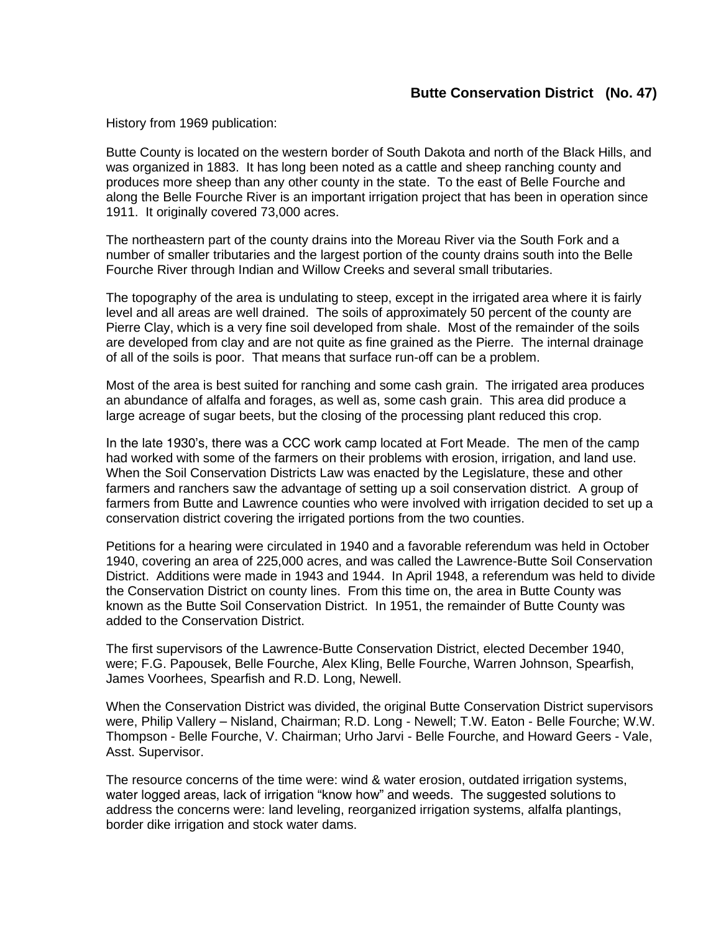## **Butte Conservation District (No. 47)**

History from 1969 publication:

Butte County is located on the western border of South Dakota and north of the Black Hills, and was organized in 1883. It has long been noted as a cattle and sheep ranching county and produces more sheep than any other county in the state. To the east of Belle Fourche and along the Belle Fourche River is an important irrigation project that has been in operation since 1911. It originally covered 73,000 acres.

The northeastern part of the county drains into the Moreau River via the South Fork and a number of smaller tributaries and the largest portion of the county drains south into the Belle Fourche River through Indian and Willow Creeks and several small tributaries.

The topography of the area is undulating to steep, except in the irrigated area where it is fairly level and all areas are well drained. The soils of approximately 50 percent of the county are Pierre Clay, which is a very fine soil developed from shale. Most of the remainder of the soils are developed from clay and are not quite as fine grained as the Pierre. The internal drainage of all of the soils is poor. That means that surface run-off can be a problem.

Most of the area is best suited for ranching and some cash grain. The irrigated area produces an abundance of alfalfa and forages, as well as, some cash grain. This area did produce a large acreage of sugar beets, but the closing of the processing plant reduced this crop.

In the late 1930's, there was a CCC work camp located at Fort Meade. The men of the camp had worked with some of the farmers on their problems with erosion, irrigation, and land use. When the Soil Conservation Districts Law was enacted by the Legislature, these and other farmers and ranchers saw the advantage of setting up a soil conservation district. A group of farmers from Butte and Lawrence counties who were involved with irrigation decided to set up a conservation district covering the irrigated portions from the two counties.

Petitions for a hearing were circulated in 1940 and a favorable referendum was held in October 1940, covering an area of 225,000 acres, and was called the Lawrence-Butte Soil Conservation District. Additions were made in 1943 and 1944. In April 1948, a referendum was held to divide the Conservation District on county lines. From this time on, the area in Butte County was known as the Butte Soil Conservation District. In 1951, the remainder of Butte County was added to the Conservation District.

The first supervisors of the Lawrence-Butte Conservation District, elected December 1940, were; F.G. Papousek, Belle Fourche, Alex Kling, Belle Fourche, Warren Johnson, Spearfish, James Voorhees, Spearfish and R.D. Long, Newell.

When the Conservation District was divided, the original Butte Conservation District supervisors were, Philip Vallery – Nisland, Chairman; R.D. Long - Newell; T.W. Eaton - Belle Fourche; W.W. Thompson - Belle Fourche, V. Chairman; Urho Jarvi - Belle Fourche, and Howard Geers - Vale, Asst. Supervisor.

The resource concerns of the time were: wind & water erosion, outdated irrigation systems, water logged areas, lack of irrigation "know how" and weeds. The suggested solutions to address the concerns were: land leveling, reorganized irrigation systems, alfalfa plantings, border dike irrigation and stock water dams.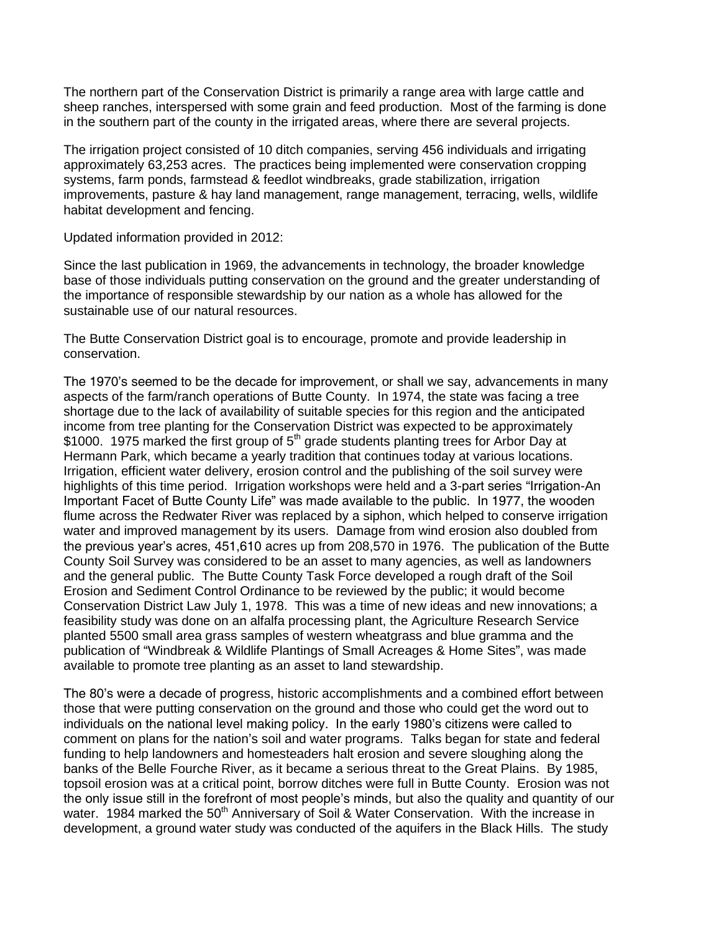The northern part of the Conservation District is primarily a range area with large cattle and sheep ranches, interspersed with some grain and feed production. Most of the farming is done in the southern part of the county in the irrigated areas, where there are several projects.

The irrigation project consisted of 10 ditch companies, serving 456 individuals and irrigating approximately 63,253 acres. The practices being implemented were conservation cropping systems, farm ponds, farmstead & feedlot windbreaks, grade stabilization, irrigation improvements, pasture & hay land management, range management, terracing, wells, wildlife habitat development and fencing.

Updated information provided in 2012:

Since the last publication in 1969, the advancements in technology, the broader knowledge base of those individuals putting conservation on the ground and the greater understanding of the importance of responsible stewardship by our nation as a whole has allowed for the sustainable use of our natural resources.

The Butte Conservation District goal is to encourage, promote and provide leadership in conservation.

The 1970's seemed to be the decade for improvement, or shall we say, advancements in many aspects of the farm/ranch operations of Butte County. In 1974, the state was facing a tree shortage due to the lack of availability of suitable species for this region and the anticipated income from tree planting for the Conservation District was expected to be approximately \$1000. 1975 marked the first group of 5<sup>th</sup> grade students planting trees for Arbor Day at Hermann Park, which became a yearly tradition that continues today at various locations. Irrigation, efficient water delivery, erosion control and the publishing of the soil survey were highlights of this time period. Irrigation workshops were held and a 3-part series "Irrigation-An Important Facet of Butte County Life" was made available to the public. In 1977, the wooden flume across the Redwater River was replaced by a siphon, which helped to conserve irrigation water and improved management by its users. Damage from wind erosion also doubled from the previous year's acres, 451,610 acres up from 208,570 in 1976. The publication of the Butte County Soil Survey was considered to be an asset to many agencies, as well as landowners and the general public. The Butte County Task Force developed a rough draft of the Soil Erosion and Sediment Control Ordinance to be reviewed by the public; it would become Conservation District Law July 1, 1978. This was a time of new ideas and new innovations; a feasibility study was done on an alfalfa processing plant, the Agriculture Research Service planted 5500 small area grass samples of western wheatgrass and blue gramma and the publication of "Windbreak & Wildlife Plantings of Small Acreages & Home Sites", was made available to promote tree planting as an asset to land stewardship.

The 80's were a decade of progress, historic accomplishments and a combined effort between those that were putting conservation on the ground and those who could get the word out to individuals on the national level making policy. In the early 1980's citizens were called to comment on plans for the nation's soil and water programs. Talks began for state and federal funding to help landowners and homesteaders halt erosion and severe sloughing along the banks of the Belle Fourche River, as it became a serious threat to the Great Plains. By 1985, topsoil erosion was at a critical point, borrow ditches were full in Butte County. Erosion was not the only issue still in the forefront of most people's minds, but also the quality and quantity of our water. 1984 marked the 50<sup>th</sup> Anniversary of Soil & Water Conservation. With the increase in development, a ground water study was conducted of the aquifers in the Black Hills. The study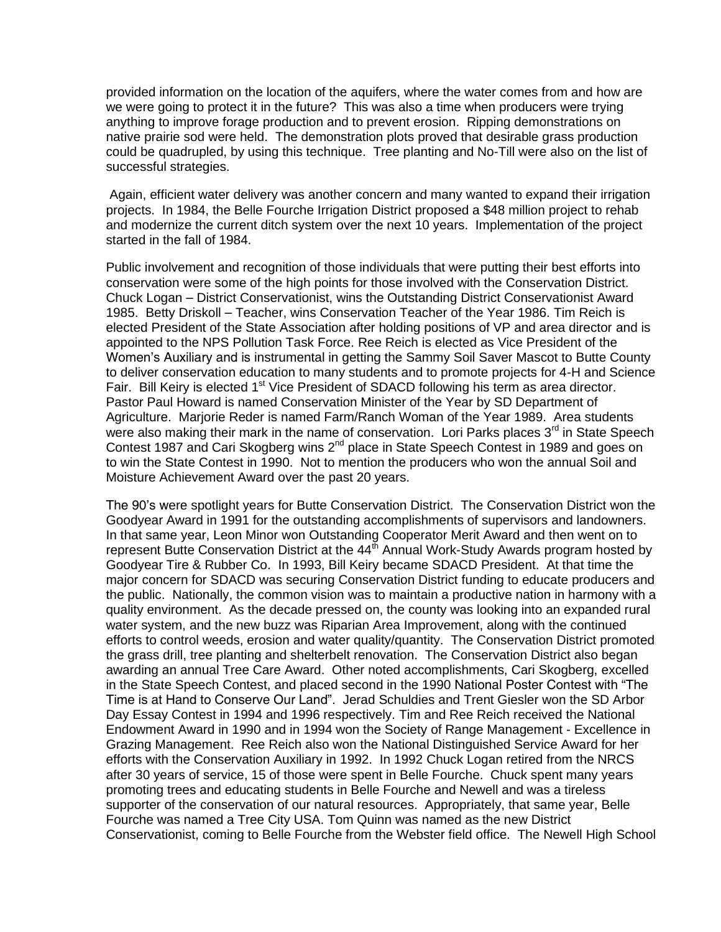provided information on the location of the aquifers, where the water comes from and how are we were going to protect it in the future? This was also a time when producers were trying anything to improve forage production and to prevent erosion. Ripping demonstrations on native prairie sod were held. The demonstration plots proved that desirable grass production could be quadrupled, by using this technique. Tree planting and No-Till were also on the list of successful strategies.

Again, efficient water delivery was another concern and many wanted to expand their irrigation projects. In 1984, the Belle Fourche Irrigation District proposed a \$48 million project to rehab and modernize the current ditch system over the next 10 years. Implementation of the project started in the fall of 1984.

Public involvement and recognition of those individuals that were putting their best efforts into conservation were some of the high points for those involved with the Conservation District. Chuck Logan – District Conservationist, wins the Outstanding District Conservationist Award 1985. Betty Driskoll – Teacher, wins Conservation Teacher of the Year 1986. Tim Reich is elected President of the State Association after holding positions of VP and area director and is appointed to the NPS Pollution Task Force. Ree Reich is elected as Vice President of the Women's Auxiliary and is instrumental in getting the Sammy Soil Saver Mascot to Butte County to deliver conservation education to many students and to promote projects for 4-H and Science Fair. Bill Keiry is elected 1<sup>st</sup> Vice President of SDACD following his term as area director. Pastor Paul Howard is named Conservation Minister of the Year by SD Department of Agriculture. Marjorie Reder is named Farm/Ranch Woman of the Year 1989. Area students were also making their mark in the name of conservation. Lori Parks places 3<sup>rd</sup> in State Speech Contest 1987 and Cari Skogberg wins 2<sup>nd</sup> place in State Speech Contest in 1989 and goes on to win the State Contest in 1990. Not to mention the producers who won the annual Soil and Moisture Achievement Award over the past 20 years.

The 90's were spotlight years for Butte Conservation District. The Conservation District won the Goodyear Award in 1991 for the outstanding accomplishments of supervisors and landowners. In that same year, Leon Minor won Outstanding Cooperator Merit Award and then went on to represent Butte Conservation District at the  $44<sup>th</sup>$  Annual Work-Study Awards program hosted by Goodyear Tire & Rubber Co. In 1993, Bill Keiry became SDACD President. At that time the major concern for SDACD was securing Conservation District funding to educate producers and the public. Nationally, the common vision was to maintain a productive nation in harmony with a quality environment. As the decade pressed on, the county was looking into an expanded rural water system, and the new buzz was Riparian Area Improvement, along with the continued efforts to control weeds, erosion and water quality/quantity. The Conservation District promoted the grass drill, tree planting and shelterbelt renovation. The Conservation District also began awarding an annual Tree Care Award. Other noted accomplishments, Cari Skogberg, excelled in the State Speech Contest, and placed second in the 1990 National Poster Contest with "The Time is at Hand to Conserve Our Land". Jerad Schuldies and Trent Giesler won the SD Arbor Day Essay Contest in 1994 and 1996 respectively. Tim and Ree Reich received the National Endowment Award in 1990 and in 1994 won the Society of Range Management - Excellence in Grazing Management. Ree Reich also won the National Distinguished Service Award for her efforts with the Conservation Auxiliary in 1992. In 1992 Chuck Logan retired from the NRCS after 30 years of service, 15 of those were spent in Belle Fourche. Chuck spent many years promoting trees and educating students in Belle Fourche and Newell and was a tireless supporter of the conservation of our natural resources. Appropriately, that same year, Belle Fourche was named a Tree City USA. Tom Quinn was named as the new District Conservationist, coming to Belle Fourche from the Webster field office. The Newell High School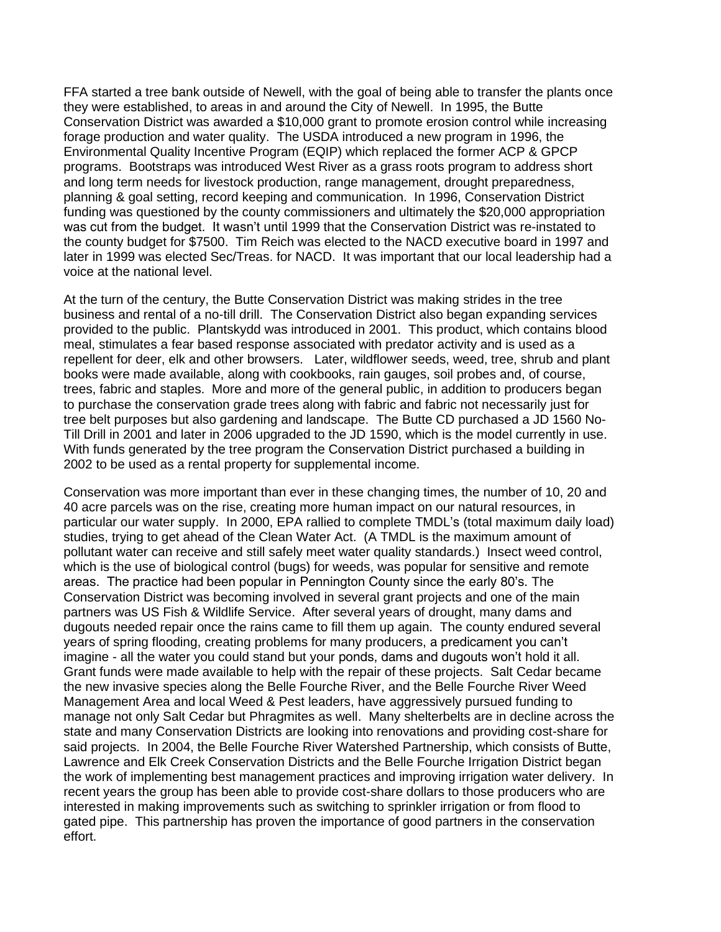FFA started a tree bank outside of Newell, with the goal of being able to transfer the plants once they were established, to areas in and around the City of Newell. In 1995, the Butte Conservation District was awarded a \$10,000 grant to promote erosion control while increasing forage production and water quality. The USDA introduced a new program in 1996, the Environmental Quality Incentive Program (EQIP) which replaced the former ACP & GPCP programs. Bootstraps was introduced West River as a grass roots program to address short and long term needs for livestock production, range management, drought preparedness, planning & goal setting, record keeping and communication. In 1996, Conservation District funding was questioned by the county commissioners and ultimately the \$20,000 appropriation was cut from the budget. It wasn't until 1999 that the Conservation District was re-instated to the county budget for \$7500. Tim Reich was elected to the NACD executive board in 1997 and later in 1999 was elected Sec/Treas. for NACD. It was important that our local leadership had a voice at the national level.

At the turn of the century, the Butte Conservation District was making strides in the tree business and rental of a no-till drill. The Conservation District also began expanding services provided to the public. Plantskydd was introduced in 2001. This product, which contains blood meal, stimulates a fear based response associated with predator activity and is used as a repellent for deer, elk and other browsers. Later, wildflower seeds, weed, tree, shrub and plant books were made available, along with cookbooks, rain gauges, soil probes and, of course, trees, fabric and staples. More and more of the general public, in addition to producers began to purchase the conservation grade trees along with fabric and fabric not necessarily just for tree belt purposes but also gardening and landscape. The Butte CD purchased a JD 1560 No-Till Drill in 2001 and later in 2006 upgraded to the JD 1590, which is the model currently in use. With funds generated by the tree program the Conservation District purchased a building in 2002 to be used as a rental property for supplemental income.

Conservation was more important than ever in these changing times, the number of 10, 20 and 40 acre parcels was on the rise, creating more human impact on our natural resources, in particular our water supply. In 2000, EPA rallied to complete TMDL's (total maximum daily load) studies, trying to get ahead of the Clean Water Act. (A TMDL is the maximum amount of pollutant water can receive and still safely meet water quality standards.) Insect weed control, which is the use of biological control (bugs) for weeds, was popular for sensitive and remote areas. The practice had been popular in Pennington County since the early 80's. The Conservation District was becoming involved in several grant projects and one of the main partners was US Fish & Wildlife Service. After several years of drought, many dams and dugouts needed repair once the rains came to fill them up again. The county endured several years of spring flooding, creating problems for many producers, a predicament you can't imagine - all the water you could stand but your ponds, dams and dugouts won't hold it all. Grant funds were made available to help with the repair of these projects. Salt Cedar became the new invasive species along the Belle Fourche River, and the Belle Fourche River Weed Management Area and local Weed & Pest leaders, have aggressively pursued funding to manage not only Salt Cedar but Phragmites as well. Many shelterbelts are in decline across the state and many Conservation Districts are looking into renovations and providing cost-share for said projects. In 2004, the Belle Fourche River Watershed Partnership, which consists of Butte, Lawrence and Elk Creek Conservation Districts and the Belle Fourche Irrigation District began the work of implementing best management practices and improving irrigation water delivery. In recent years the group has been able to provide cost-share dollars to those producers who are interested in making improvements such as switching to sprinkler irrigation or from flood to gated pipe. This partnership has proven the importance of good partners in the conservation effort.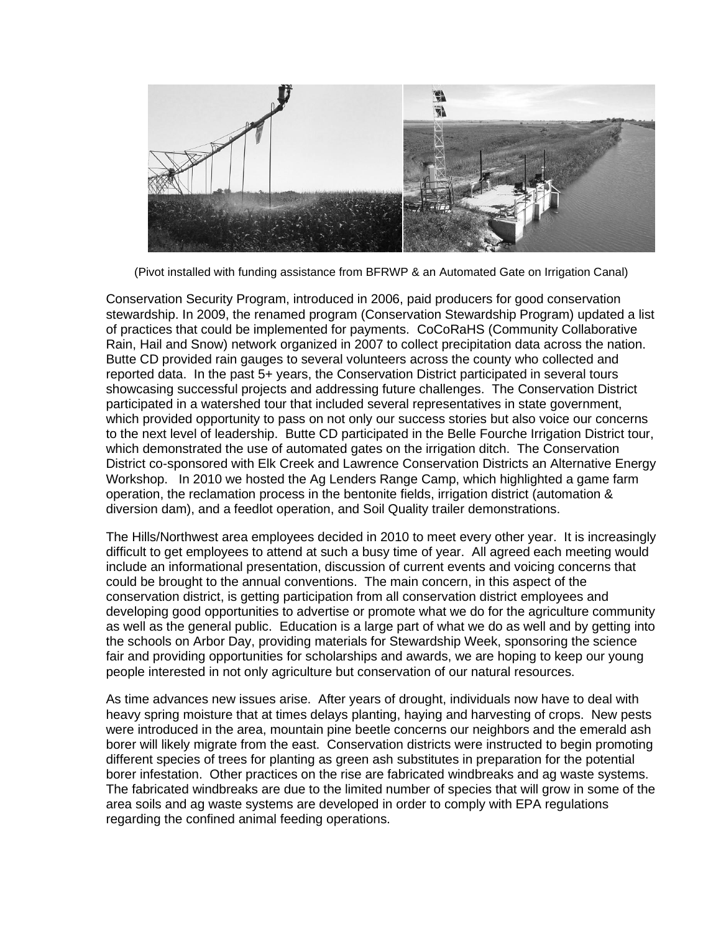

(Pivot installed with funding assistance from BFRWP & an Automated Gate on Irrigation Canal)

Conservation Security Program, introduced in 2006, paid producers for good conservation stewardship. In 2009, the renamed program (Conservation Stewardship Program) updated a list of practices that could be implemented for payments. CoCoRaHS (Community Collaborative Rain, Hail and Snow) network organized in 2007 to collect precipitation data across the nation. Butte CD provided rain gauges to several volunteers across the county who collected and reported data. In the past 5+ years, the Conservation District participated in several tours showcasing successful projects and addressing future challenges. The Conservation District participated in a watershed tour that included several representatives in state government, which provided opportunity to pass on not only our success stories but also voice our concerns to the next level of leadership. Butte CD participated in the Belle Fourche Irrigation District tour, which demonstrated the use of automated gates on the irrigation ditch. The Conservation District co-sponsored with Elk Creek and Lawrence Conservation Districts an Alternative Energy Workshop. In 2010 we hosted the Ag Lenders Range Camp, which highlighted a game farm operation, the reclamation process in the bentonite fields, irrigation district (automation & diversion dam), and a feedlot operation, and Soil Quality trailer demonstrations.

The Hills/Northwest area employees decided in 2010 to meet every other year. It is increasingly difficult to get employees to attend at such a busy time of year. All agreed each meeting would include an informational presentation, discussion of current events and voicing concerns that could be brought to the annual conventions. The main concern, in this aspect of the conservation district, is getting participation from all conservation district employees and developing good opportunities to advertise or promote what we do for the agriculture community as well as the general public. Education is a large part of what we do as well and by getting into the schools on Arbor Day, providing materials for Stewardship Week, sponsoring the science fair and providing opportunities for scholarships and awards, we are hoping to keep our young people interested in not only agriculture but conservation of our natural resources.

As time advances new issues arise. After years of drought, individuals now have to deal with heavy spring moisture that at times delays planting, haying and harvesting of crops. New pests were introduced in the area, mountain pine beetle concerns our neighbors and the emerald ash borer will likely migrate from the east. Conservation districts were instructed to begin promoting different species of trees for planting as green ash substitutes in preparation for the potential borer infestation. Other practices on the rise are fabricated windbreaks and ag waste systems. The fabricated windbreaks are due to the limited number of species that will grow in some of the area soils and ag waste systems are developed in order to comply with EPA regulations regarding the confined animal feeding operations.